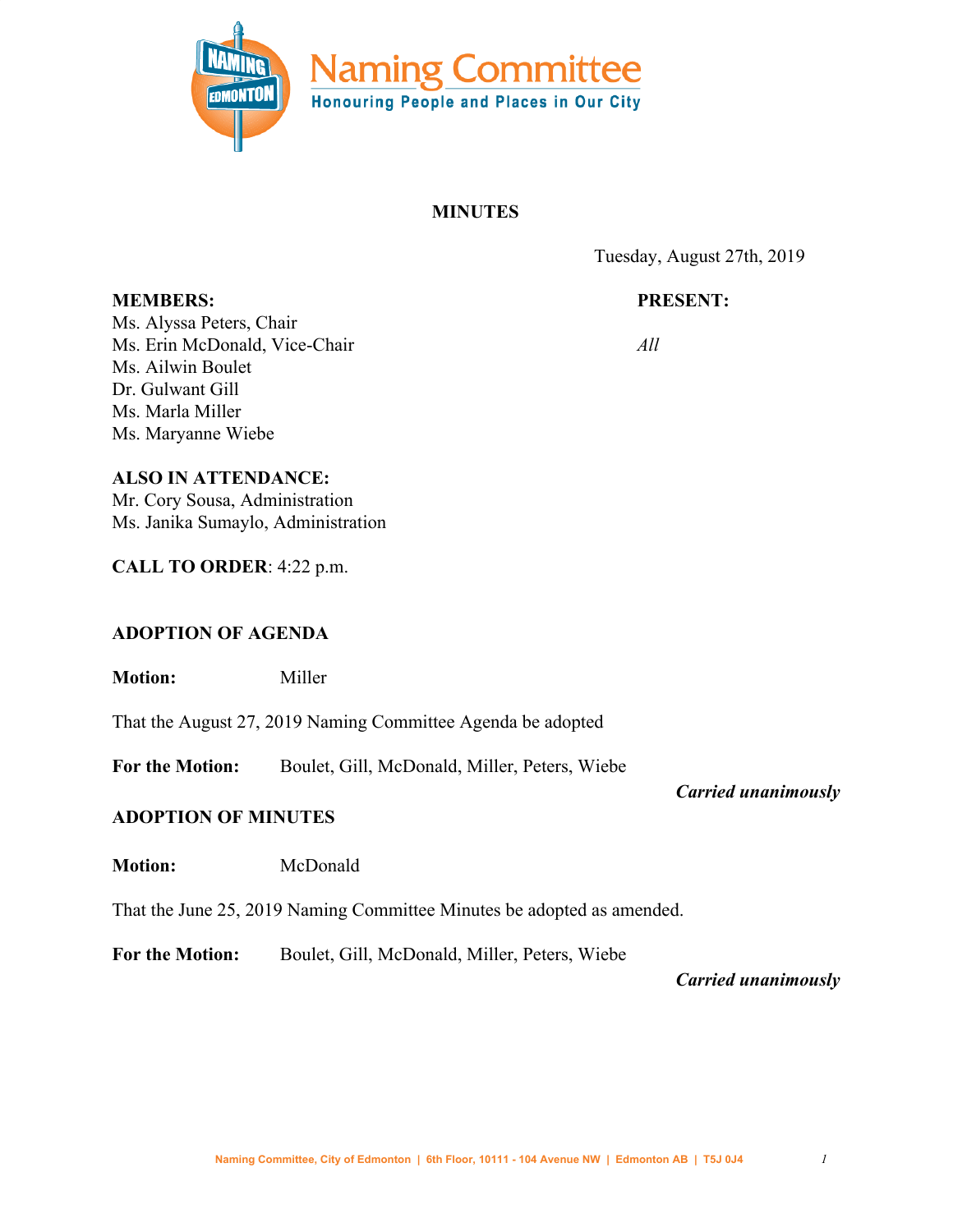

## **MINUTES**

Tuesday, August 27th, 2019

# **PRESENT:**

Ms. Alyssa Peters, Chair Ms. Erin McDonald, Vice-Chair Ms. Ailwin Boulet Dr. Gulwant Gill Ms. Marla Miller Ms. Maryanne Wiebe

**MEMBERS:**

*All*

## **ALSO IN ATTENDANCE:**

Mr. Cory Sousa, Administration Ms. Janika Sumaylo, Administration

**CALL TO ORDER**: 4:22 p.m.

# **ADOPTION OF AGENDA**

**Motion:** Miller

That the August 27, 2019 Naming Committee Agenda be adopted

**For the Motion:** Boulet, Gill, McDonald, Miller, Peters, Wiebe

*Carried unanimously*

# **ADOPTION OF MINUTES**

**Motion:** McDonald

That the June 25, 2019 Naming Committee Minutes be adopted as amended.

**For the Motion:** Boulet, Gill, McDonald, Miller, Peters, Wiebe

*Carried unanimously*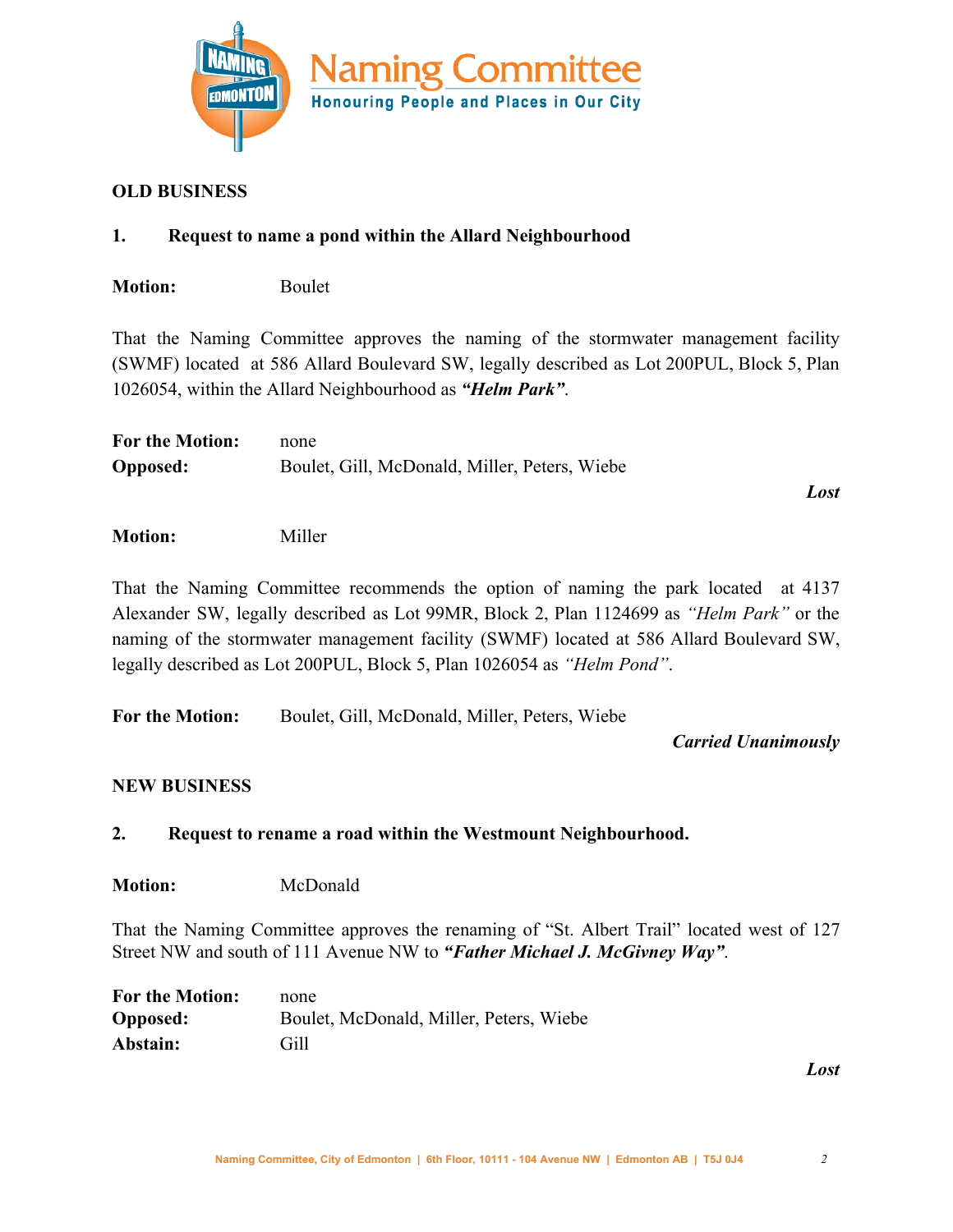

## **OLD BUSINESS**

## **1. Request to name a pond within the Allard Neighbourhood**

**Motion:** Boulet

That the Naming Committee approves the naming of the stormwater management facility (SWMF) located at 586 Allard Boulevard SW, legally described as Lot 200PUL, Block 5, Plan 1026054, within the Allard Neighbourhood as *"Helm Park"*.

| <b>For the Motion:</b> | none                                          |  |
|------------------------|-----------------------------------------------|--|
| <b>Opposed:</b>        | Boulet, Gill, McDonald, Miller, Peters, Wiebe |  |

*Lost*

**Motion:** Miller

That the Naming Committee recommends the option of naming the park located at 4137 Alexander SW, legally described as Lot 99MR, Block 2, Plan 1124699 as *"Helm Park"* or the naming of the stormwater management facility (SWMF) located at 586 Allard Boulevard SW, legally described as Lot 200PUL, Block 5, Plan 1026054 as *"Helm Pond"*.

**For the Motion:** Boulet, Gill, McDonald, Miller, Peters, Wiebe

*Carried Unanimously*

#### **NEW BUSINESS**

## **2. Request to rename a road within the Westmount Neighbourhood.**

**Motion:** McDonald

That the Naming Committee approves the renaming of "St. Albert Trail" located west of 127 Street NW and south of 111 Avenue NW to *"Father Michael J. McGivney Way"*.

| <b>For the Motion:</b> | none                                    |
|------------------------|-----------------------------------------|
| <b>Opposed:</b>        | Boulet, McDonald, Miller, Peters, Wiebe |
| Abstain:               | Gill                                    |

*Lost*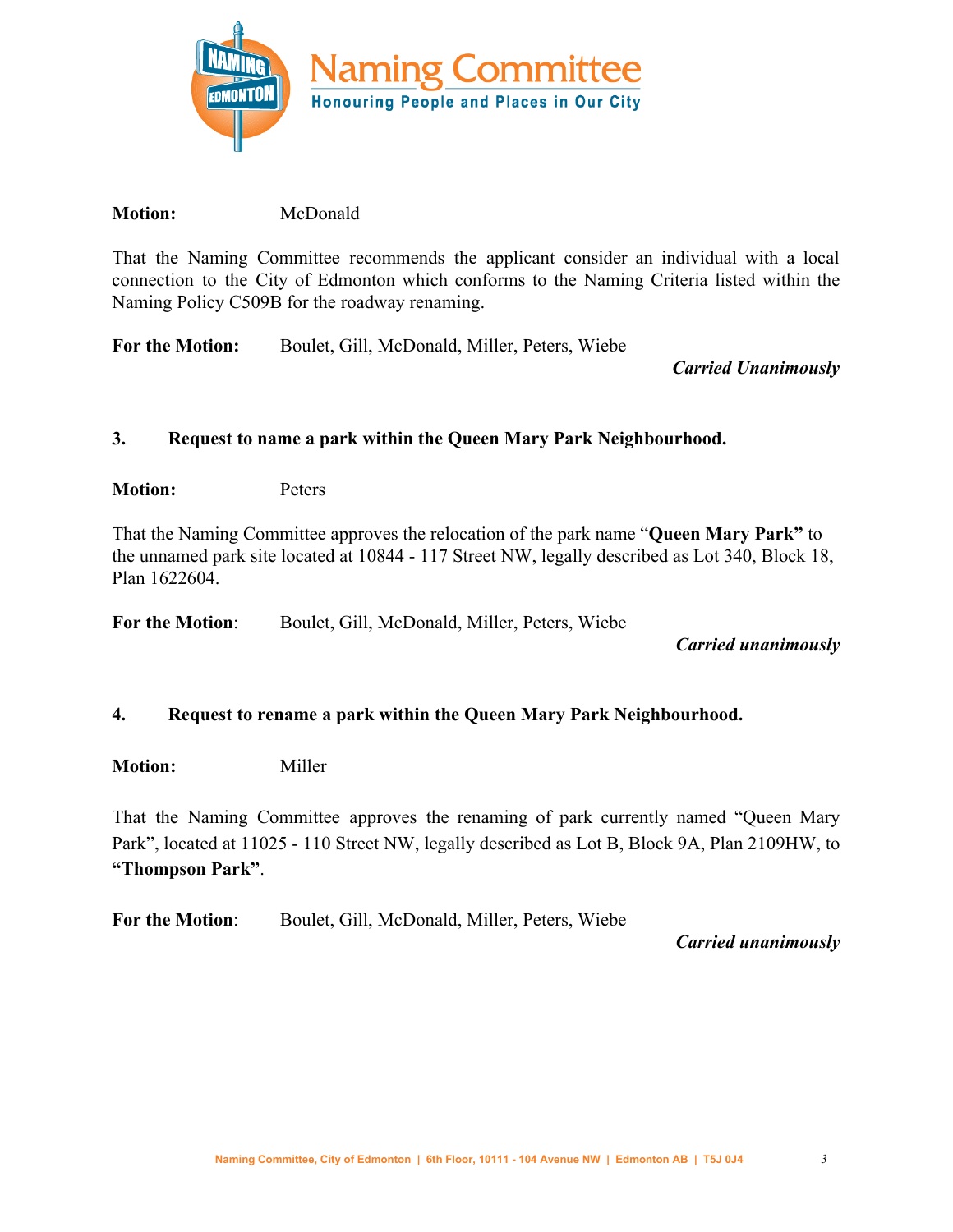

## **Motion:** McDonald

That the Naming Committee recommends the applicant consider an individual with a local connection to the City of Edmonton which conforms to the Naming Criteria listed within the Naming Policy C509B for the roadway renaming.

**For the Motion:** Boulet, Gill, McDonald, Miller, Peters, Wiebe

*Carried Unanimously*

## **3. Request to name a park within the Queen Mary Park Neighbourhood.**

**Motion:** Peters

That the Naming Committee approves the relocation of the park name "**Queen Mary Park"** to the unnamed park site located at 10844 - 117 Street NW, legally described as Lot 340, Block 18, Plan 1622604.

**For the Motion**: Boulet, Gill, McDonald, Miller, Peters, Wiebe

#### *Carried unanimously*

#### **4. Request to rename a park within the Queen Mary Park Neighbourhood.**

**Motion:** Miller

That the Naming Committee approves the renaming of park currently named "Queen Mary Park", located at 11025 - 110 Street NW, legally described as Lot B, Block 9A, Plan 2109HW, to **"Thompson Park"**.

**For the Motion**: Boulet, Gill, McDonald, Miller, Peters, Wiebe

*Carried unanimously*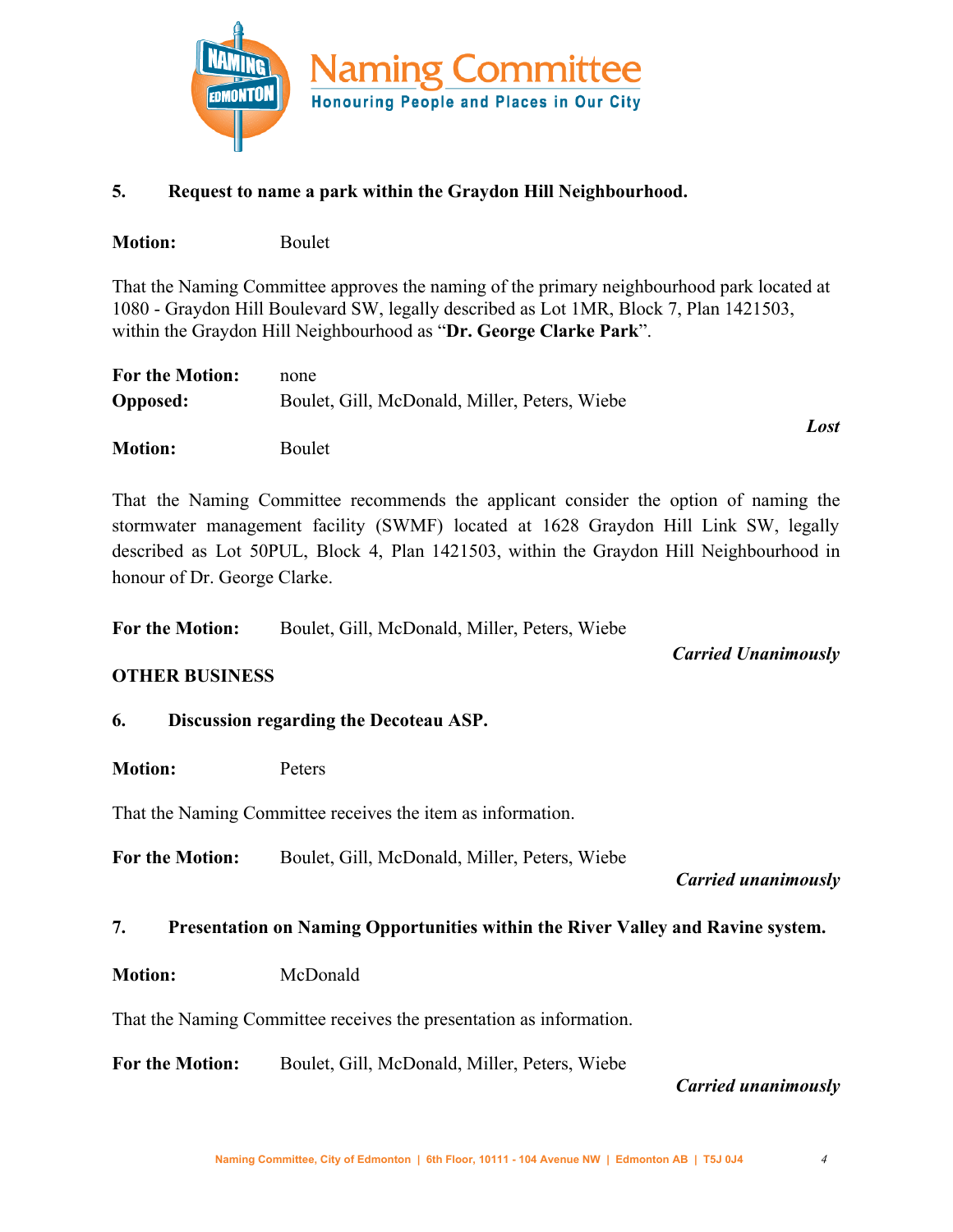

## **5. Request to name a park within the Graydon Hill Neighbourhood.**

| <b>Motion:</b> | Boulet |
|----------------|--------|
|                |        |

That the Naming Committee approves the naming of the primary neighbourhood park located at 1080 - Graydon Hill Boulevard SW, legally described as Lot 1MR, Block 7, Plan 1421503, within the Graydon Hill Neighbourhood as "**Dr. George Clarke Park**".

| <b>For the Motion:</b> | none                                          |      |
|------------------------|-----------------------------------------------|------|
| <b>Opposed:</b>        | Boulet, Gill, McDonald, Miller, Peters, Wiebe |      |
|                        |                                               | Lost |

**Motion:** Boulet

That the Naming Committee recommends the applicant consider the option of naming the stormwater management facility (SWMF) located at 1628 Graydon Hill Link SW, legally described as Lot 50PUL, Block 4, Plan 1421503, within the Graydon Hill Neighbourhood in honour of Dr. George Clarke.

**For the Motion:** Boulet, Gill, McDonald, Miller, Peters, Wiebe

*Carried Unanimously*

#### **OTHER BUSINESS**

#### **6. Discussion regarding the Decoteau ASP.**

**Motion:** Peters

That the Naming Committee receives the item as information.

**For the Motion:** Boulet, Gill, McDonald, Miller, Peters, Wiebe

*Carried unanimously*

#### **7. Presentation on Naming Opportunities within the River Valley and Ravine system.**

**Motion:** McDonald

That the Naming Committee receives the presentation as information.

**For the Motion:** Boulet, Gill, McDonald, Miller, Peters, Wiebe

#### *Carried unanimously*